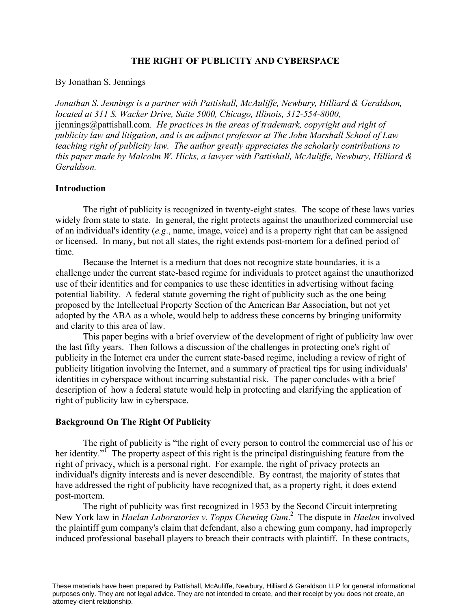# **THE RIGHT OF PUBLICITY AND CYBERSPACE**

By Jonathan S. Jennings

*Jonathan S. Jennings is a partner with Pattishall, McAuliffe, Newbury, Hilliard & Geraldson, located at 311 S. Wacker Drive, Suite 5000, Chicago, Illinois, 312-554-8000,* jjennings@pattishall.com*. He practices in the areas of trademark, copyright and right of publicity law and litigation, and is an adjunct professor at The John Marshall School of Law teaching right of publicity law. The author greatly appreciates the scholarly contributions to this paper made by Malcolm W. Hicks, a lawyer with Pattishall, McAuliffe, Newbury, Hilliard & Geraldson.*

# **Introduction**

The right of publicity is recognized in twenty-eight states. The scope of these laws varies widely from state to state. In general, the right protects against the unauthorized commercial use of an individual's identity (*e.g*., name, image, voice) and is a property right that can be assigned or licensed. In many, but not all states, the right extends post-mortem for a defined period of time.

Because the Internet is a medium that does not recognize state boundaries, it is a challenge under the current state-based regime for individuals to protect against the unauthorized use of their identities and for companies to use these identities in advertising without facing potential liability. A federal statute governing the right of publicity such as the one being proposed by the Intellectual Property Section of the American Bar Association, but not yet adopted by the ABA as a whole, would help to address these concerns by bringing uniformity and clarity to this area of law.

This paper begins with a brief overview of the development of right of publicity law over the last fifty years. Then follows a discussion of the challenges in protecting one's right of publicity in the Internet era under the current state-based regime, including a review of right of publicity litigation involving the Internet, and a summary of practical tips for using individuals' identities in cyberspace without incurring substantial risk. The paper concludes with a brief description of how a federal statute would help in protecting and clarifying the application of right of publicity law in cyberspace.

# **Background On The Right Of Publicity**

The right of publicity is "the right of every person to control the commercial use of his or her identity."<sup>I</sup> The property aspect of this right is the principal distinguishing feature from the right of privacy, which is a personal right. For example, the right of privacy protects an individual's dignity interests and is never descendible. By contrast, the majority of states that have addressed the right of publicity have recognized that, as a property right, it does extend post-mortem.

The right of publicity was first recognized in 1953 by the Second Circuit interpreting New York law in *Haelan Laboratories v. Topps Chewing Gum*. 2 The dispute in *Haelen* involved the plaintiff gum company's claim that defendant, also a chewing gum company, had improperly induced professional baseball players to breach their contracts with plaintiff. In these contracts,

These materials have been prepared by Pattishall, McAuliffe, Newbury, Hilliard & Geraldson LLP for general informational purposes only. They are not legal advice. They are not intended to create, and their receipt by you does not create, an attorney-client relationship.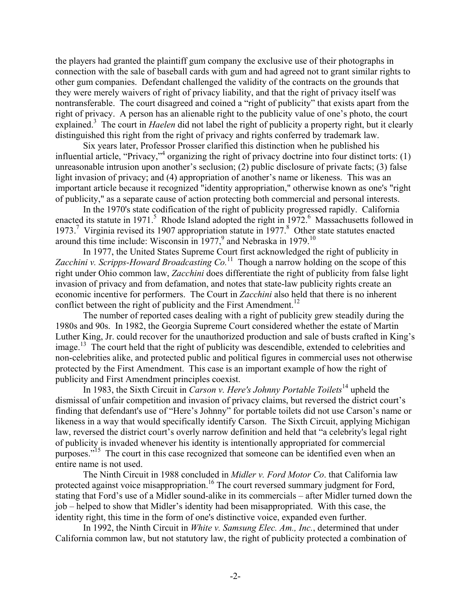the players had granted the plaintiff gum company the exclusive use of their photographs in connection with the sale of baseball cards with gum and had agreed not to grant similar rights to other gum companies. Defendant challenged the validity of the contracts on the grounds that they were merely waivers of right of privacy liability, and that the right of privacy itself was nontransferable. The court disagreed and coined a "right of publicity" that exists apart from the right of privacy. A person has an alienable right to the publicity value of one's photo, the court explained.<sup>3</sup> The court in *Haelen* did not label the right of publicity a property right, but it clearly distinguished this right from the right of privacy and rights conferred by trademark law.

Six years later, Professor Prosser clarified this distinction when he published his influential article, "Privacy,"<sup>4</sup> organizing the right of privacy doctrine into four distinct torts: (1) unreasonable intrusion upon another's seclusion; (2) public disclosure of private facts; (3) false light invasion of privacy; and (4) appropriation of another's name or likeness. This was an important article because it recognized "identity appropriation," otherwise known as one's "right of publicity," as a separate cause of action protecting both commercial and personal interests.

In the 1970's state codification of the right of publicity progressed rapidly. California enacted its statute in 1971.<sup>5</sup> Rhode Island adopted the right in 1972.<sup>6</sup> Massachusetts followed in 1973.<sup>7</sup> Virginia revised its 1907 appropriation statute in 1977.<sup>8</sup> Other state statutes enacted around this time include: Wisconsin in 1977,<sup>9</sup> and Nebraska in 1979.<sup>10</sup>

In 1977, the United States Supreme Court first acknowledged the right of publicity in *Zacchini v. Scripps-Howard Broadcasting Co.*<sup>11</sup> Though a narrow holding on the scope of this right under Ohio common law, *Zacchini* does differentiate the right of publicity from false light invasion of privacy and from defamation, and notes that state-law publicity rights create an economic incentive for performers. The Court in *Zacchini* also held that there is no inherent conflict between the right of publicity and the First Amendment.<sup>12</sup>

The number of reported cases dealing with a right of publicity grew steadily during the 1980s and 90s. In 1982, the Georgia Supreme Court considered whether the estate of Martin Luther King, Jr. could recover for the unauthorized production and sale of busts crafted in King's  $\mu$  The court held that the right of publicity was descendible, extended to celebrities and non-celebrities alike, and protected public and political figures in commercial uses not otherwise protected by the First Amendment. This case is an important example of how the right of publicity and First Amendment principles coexist.

In 1983, the Sixth Circuit in *Carson v. Here's Johnny Portable Toilets*<sup>14</sup> upheld the dismissal of unfair competition and invasion of privacy claims, but reversed the district court's finding that defendant's use of "Here's Johnny" for portable toilets did not use Carson's name or likeness in a way that would specifically identify Carson. The Sixth Circuit, applying Michigan law, reversed the district court's overly narrow definition and held that "a celebrity's legal right of publicity is invaded whenever his identity is intentionally appropriated for commercial purposes."<sup>15</sup> The court in this case recognized that someone can be identified even when an entire name is not used.

The Ninth Circuit in 1988 concluded in *Midler v. Ford Motor Co*. that California law protected against voice misappropriation.<sup>16</sup> The court reversed summary judgment for Ford, stating that Ford's use of a Midler sound-alike in its commercials – after Midler turned down the job – helped to show that Midler's identity had been misappropriated. With this case, the identity right, this time in the form of one's distinctive voice, expanded even further.

In 1992, the Ninth Circuit in *White v. Samsung Elec. Am., Inc.*, determined that under California common law, but not statutory law, the right of publicity protected a combination of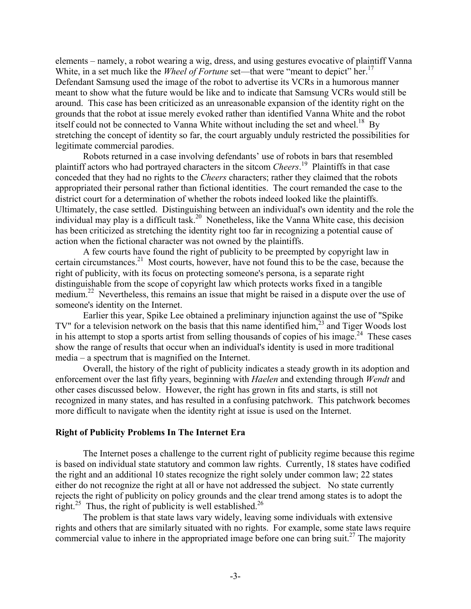elements – namely, a robot wearing a wig, dress, and using gestures evocative of plaintiff Vanna White, in a set much like the *Wheel of Fortune* set—that were "meant to depict" her.<sup>17</sup> Defendant Samsung used the image of the robot to advertise its VCRs in a humorous manner meant to show what the future would be like and to indicate that Samsung VCRs would still be around. This case has been criticized as an unreasonable expansion of the identity right on the grounds that the robot at issue merely evoked rather than identified Vanna White and the robot itself could not be connected to Vanna White without including the set and wheel.<sup>18</sup> By stretching the concept of identity so far, the court arguably unduly restricted the possibilities for legitimate commercial parodies.

Robots returned in a case involving defendants' use of robots in bars that resembled plaintiff actors who had portrayed characters in the sitcom *Cheers*. 19 Plaintiffs in that case conceded that they had no rights to the *Cheers* characters; rather they claimed that the robots appropriated their personal rather than fictional identities. The court remanded the case to the district court for a determination of whether the robots indeed looked like the plaintiffs. Ultimately, the case settled. Distinguishing between an individual's own identity and the role the individual may play is a difficult task.<sup>20</sup> Nonetheless, like the Vanna White case, this decision has been criticized as stretching the identity right too far in recognizing a potential cause of action when the fictional character was not owned by the plaintiffs.

A few courts have found the right of publicity to be preempted by copyright law in certain circumstances.<sup>21</sup> Most courts, however, have not found this to be the case, because the right of publicity, with its focus on protecting someone's persona, is a separate right distinguishable from the scope of copyright law which protects works fixed in a tangible medium.<sup>22</sup> Nevertheless, this remains an issue that might be raised in a dispute over the use of someone's identity on the Internet.

Earlier this year, Spike Lee obtained a preliminary injunction against the use of "Spike TV" for a television network on the basis that this name identified him, $^{23}$  and Tiger Woods lost in his attempt to stop a sports artist from selling thousands of copies of his image.<sup>24</sup> These cases show the range of results that occur when an individual's identity is used in more traditional media – a spectrum that is magnified on the Internet.

Overall, the history of the right of publicity indicates a steady growth in its adoption and enforcement over the last fifty years, beginning with *Haelen* and extending through *Wendt* and other cases discussed below. However, the right has grown in fits and starts, is still not recognized in many states, and has resulted in a confusing patchwork. This patchwork becomes more difficult to navigate when the identity right at issue is used on the Internet.

#### **Right of Publicity Problems In The Internet Era**

The Internet poses a challenge to the current right of publicity regime because this regime is based on individual state statutory and common law rights. Currently, 18 states have codified the right and an additional 10 states recognize the right solely under common law; 22 states either do not recognize the right at all or have not addressed the subject. No state currently rejects the right of publicity on policy grounds and the clear trend among states is to adopt the right.<sup>25</sup> Thus, the right of publicity is well established.<sup>26</sup>

The problem is that state laws vary widely, leaving some individuals with extensive rights and others that are similarly situated with no rights. For example, some state laws require commercial value to inhere in the appropriated image before one can bring suit.<sup>27</sup> The majority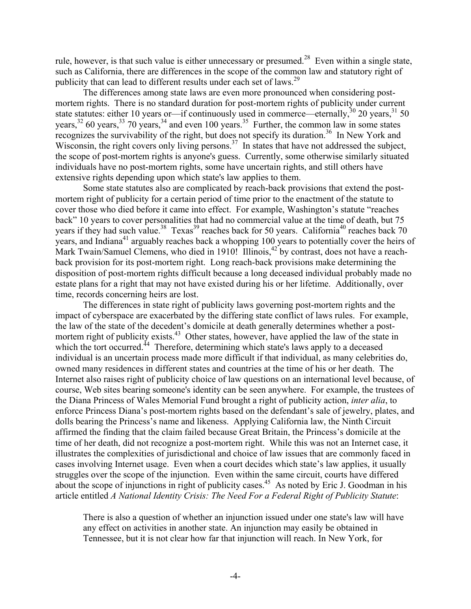rule, however, is that such value is either unnecessary or presumed.<sup>28</sup> Even within a single state, such as California, there are differences in the scope of the common law and statutory right of publicity that can lead to different results under each set of laws.<sup>29</sup>

The differences among state laws are even more pronounced when considering postmortem rights. There is no standard duration for post-mortem rights of publicity under current state statutes: either 10 years or—if continuously used in commerce—eternally,<sup>30</sup> 20 years,<sup>31</sup> 50 years,  $32\,60$  years,  $33\,70$  years,  $34\,$  and even 100 years.  $35\,$  Further, the common law in some states recognizes the survivability of the right, but does not specify its duration.<sup>36</sup> In New York and Wisconsin, the right covers only living persons.<sup>37</sup> In states that have not addressed the subject, the scope of post-mortem rights is anyone's guess. Currently, some otherwise similarly situated individuals have no post-mortem rights, some have uncertain rights, and still others have extensive rights depending upon which state's law applies to them.

Some state statutes also are complicated by reach-back provisions that extend the postmortem right of publicity for a certain period of time prior to the enactment of the statute to cover those who died before it came into effect. For example, Washington's statute "reaches back" 10 years to cover personalities that had no commercial value at the time of death, but 75 years if they had such value.<sup>38</sup> Texas<sup>39</sup> reaches back for 50 years. California<sup>40</sup> reaches back 70 years, and Indiana<sup>41</sup> arguably reaches back a whopping 100 years to potentially cover the heirs of Mark Twain/Samuel Clemens, who died in 1910! Illinois,<sup>42</sup> by contrast, does not have a reachback provision for its post-mortem right. Long reach-back provisions make determining the disposition of post-mortem rights difficult because a long deceased individual probably made no estate plans for a right that may not have existed during his or her lifetime. Additionally, over time, records concerning heirs are lost.

The differences in state right of publicity laws governing post-mortem rights and the impact of cyberspace are exacerbated by the differing state conflict of laws rules. For example, the law of the state of the decedent's domicile at death generally determines whether a postmortem right of publicity exists.<sup>43</sup> Other states, however, have applied the law of the state in which the tort occurred.<sup>44</sup> Therefore, determining which state's laws apply to a deceased individual is an uncertain process made more difficult if that individual, as many celebrities do, owned many residences in different states and countries at the time of his or her death. The Internet also raises right of publicity choice of law questions on an international level because, of course, Web sites bearing someone's identity can be seen anywhere. For example, the trustees of the Diana Princess of Wales Memorial Fund brought a right of publicity action, *inter alia*, to enforce Princess Diana's post-mortem rights based on the defendant's sale of jewelry, plates, and dolls bearing the Princess's name and likeness. Applying California law, the Ninth Circuit affirmed the finding that the claim failed because Great Britain, the Princess's domicile at the time of her death, did not recognize a post-mortem right. While this was not an Internet case, it illustrates the complexities of jurisdictional and choice of law issues that are commonly faced in cases involving Internet usage. Even when a court decides which state's law applies, it usually struggles over the scope of the injunction. Even within the same circuit, courts have differed about the scope of injunctions in right of publicity cases.<sup>45</sup> As noted by Eric J. Goodman in his article entitled *A National Identity Crisis: The Need For a Federal Right of Publicity Statute*:

There is also a question of whether an injunction issued under one state's law will have any effect on activities in another state. An injunction may easily be obtained in Tennessee, but it is not clear how far that injunction will reach. In New York, for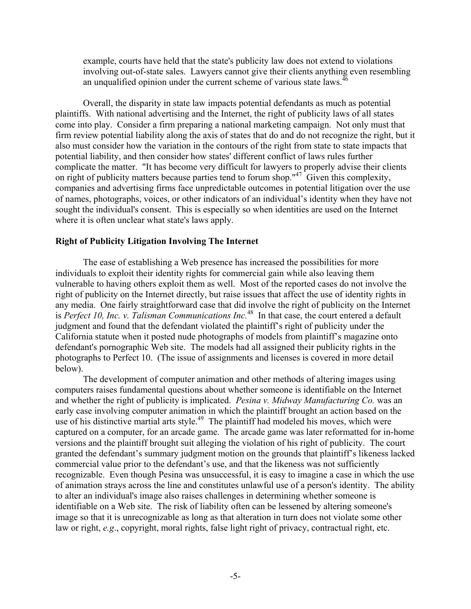example, courts have held that the state's publicity law does not extend to violations involving out-of-state sales. Lawyers cannot give their clients anything even resembling an unqualified opinion under the current scheme of various state laws. $46$ 

Overall, the disparity in state law impacts potential defendants as much as potential plaintiffs. With national advertising and the Internet, the right of publicity laws of all states come into play. Consider a firm preparing a national marketing campaign. Not only must that firm review potential liability along the axis of states that do and do not recognize the right, but it also must consider how the variation in the contours of the right from state to state impacts that potential liability, and then consider how states' different conflict of laws rules further complicate the matter. "It has become very difficult for lawyers to properly advise their clients on right of publicity matters because parties tend to forum shop."47 Given this complexity, companies and advertising firms face unpredictable outcomes in potential litigation over the use of names, photographs, voices, or other indicators of an individual's identity when they have not sought the individual's consent. This is especially so when identities are used on the Internet where it is often unclear what state's laws apply.

### **Right of Publicity Litigation Involving The Internet**

The ease of establishing a Web presence has increased the possibilities for more individuals to exploit their identity rights for commercial gain while also leaving them vulnerable to having others exploit them as well. Most of the reported cases do not involve the right of publicity on the Internet directly, but raise issues that affect the use of identity rights in any media. One fairly straightforward case that did involve the right of publicity on the Internet is *Perfect 10, Inc. v. Talisman Communications Inc.*48 In that case, the court entered a default judgment and found that the defendant violated the plaintiff's right of publicity under the California statute when it posted nude photographs of models from plaintiff's magazine onto defendant's pornographic Web site. The models had all assigned their publicity rights in the photographs to Perfect 10. (The issue of assignments and licenses is covered in more detail below).

The development of computer animation and other methods of altering images using computers raises fundamental questions about whether someone is identifiable on the Internet and whether the right of publicity is implicated. *Pesina v. Midway Manufacturing Co.* was an early case involving computer animation in which the plaintiff brought an action based on the use of his distinctive martial arts style.<sup>49</sup> The plaintiff had modeled his moves, which were captured on a computer, for an arcade game. The arcade game was later reformatted for in-home versions and the plaintiff brought suit alleging the violation of his right of publicity. The court granted the defendant's summary judgment motion on the grounds that plaintiff's likeness lacked commercial value prior to the defendant's use, and that the likeness was not sufficiently recognizable. Even though Pesina was unsuccessful, it is easy to imagine a case in which the use of animation strays across the line and constitutes unlawful use of a person's identity. The ability to alter an individual's image also raises challenges in determining whether someone is identifiable on a Web site. The risk of liability often can be lessened by altering someone's image so that it is unrecognizable as long as that alteration in turn does not violate some other law or right, *e.g.*, copyright, moral rights, false light right of privacy, contractual right, etc.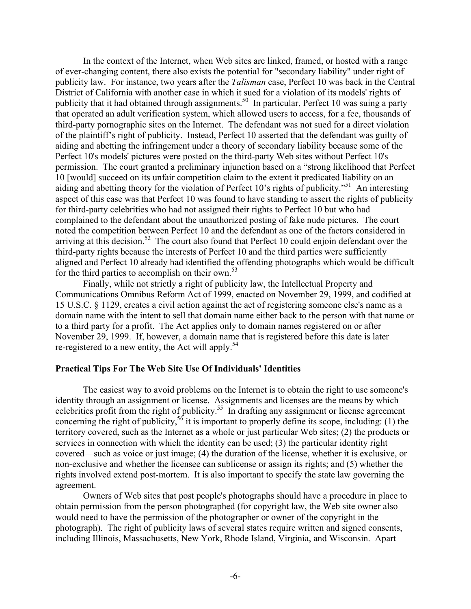In the context of the Internet, when Web sites are linked, framed, or hosted with a range of ever-changing content, there also exists the potential for "secondary liability" under right of publicity law. For instance, two years after the *Talisman* case, Perfect 10 was back in the Central District of California with another case in which it sued for a violation of its models' rights of publicity that it had obtained through assignments.<sup>50</sup> In particular, Perfect 10 was suing a party that operated an adult verification system, which allowed users to access, for a fee, thousands of third-party pornographic sites on the Internet. The defendant was not sued for a direct violation of the plaintiff's right of publicity. Instead, Perfect 10 asserted that the defendant was guilty of aiding and abetting the infringement under a theory of secondary liability because some of the Perfect 10's models' pictures were posted on the third-party Web sites without Perfect 10's permission. The court granted a preliminary injunction based on a "strong likelihood that Perfect 10 [would] succeed on its unfair competition claim to the extent it predicated liability on an aiding and abetting theory for the violation of Perfect 10's rights of publicity."<sup>51</sup> An interesting aspect of this case was that Perfect 10 was found to have standing to assert the rights of publicity for third-party celebrities who had not assigned their rights to Perfect 10 but who had complained to the defendant about the unauthorized posting of fake nude pictures. The court noted the competition between Perfect 10 and the defendant as one of the factors considered in arriving at this decision.<sup>52</sup> The court also found that Perfect 10 could enjoin defendant over the third-party rights because the interests of Perfect 10 and the third parties were sufficiently aligned and Perfect 10 already had identified the offending photographs which would be difficult for the third parties to accomplish on their own.<sup>53</sup>

Finally, while not strictly a right of publicity law, the Intellectual Property and Communications Omnibus Reform Act of 1999, enacted on November 29, 1999, and codified at 15 U.S.C. § 1129, creates a civil action against the act of registering someone else's name as a domain name with the intent to sell that domain name either back to the person with that name or to a third party for a profit. The Act applies only to domain names registered on or after November 29, 1999. If, however, a domain name that is registered before this date is later re-registered to a new entity, the Act will apply.<sup>54</sup>

# **Practical Tips For The Web Site Use Of Individuals' Identities**

The easiest way to avoid problems on the Internet is to obtain the right to use someone's identity through an assignment or license. Assignments and licenses are the means by which celebrities profit from the right of publicity.<sup>55</sup> In drafting any assignment or license agreement concerning the right of publicity,<sup>56</sup> it is important to properly define its scope, including: (1) the territory covered, such as the Internet as a whole or just particular Web sites; (2) the products or services in connection with which the identity can be used; (3) the particular identity right covered—such as voice or just image; (4) the duration of the license, whether it is exclusive, or non-exclusive and whether the licensee can sublicense or assign its rights; and (5) whether the rights involved extend post-mortem. It is also important to specify the state law governing the agreement.

Owners of Web sites that post people's photographs should have a procedure in place to obtain permission from the person photographed (for copyright law, the Web site owner also would need to have the permission of the photographer or owner of the copyright in the photograph). The right of publicity laws of several states require written and signed consents, including Illinois, Massachusetts, New York, Rhode Island, Virginia, and Wisconsin. Apart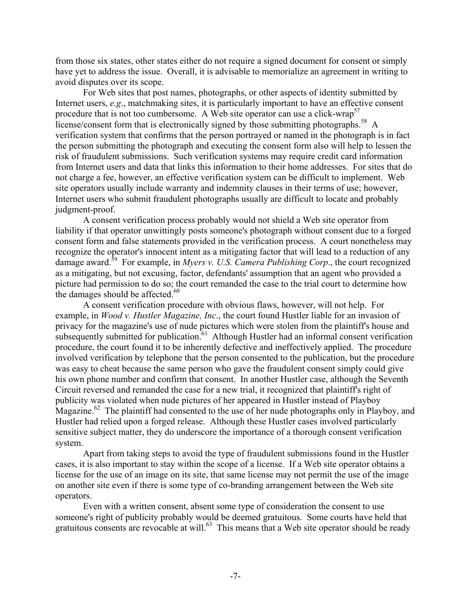from those six states, other states either do not require a signed document for consent or simply have yet to address the issue. Overall, it is advisable to memorialize an agreement in writing to avoid disputes over its scope.

For Web sites that post names, photographs, or other aspects of identity submitted by Internet users, *e.g*., matchmaking sites, it is particularly important to have an effective consent procedure that is not too cumbersome. A Web site operator can use a click-wrap<sup>57</sup> license/consent form that is electronically signed by those submitting photographs.<sup>58</sup> A verification system that confirms that the person portrayed or named in the photograph is in fact the person submitting the photograph and executing the consent form also will help to lessen the risk of fraudulent submissions. Such verification systems may require credit card information from Internet users and data that links this information to their home addresses. For sites that do not charge a fee, however, an effective verification system can be difficult to implement. Web site operators usually include warranty and indemnity clauses in their terms of use; however, Internet users who submit fraudulent photographs usually are difficult to locate and probably judgment-proof.

A consent verification process probably would not shield a Web site operator from liability if that operator unwittingly posts someone's photograph without consent due to a forged consent form and false statements provided in the verification process. A court nonetheless may recognize the operator's innocent intent as a mitigating factor that will lead to a reduction of any damage award.<sup>59</sup> For example, in *Myers v. U.S. Camera Publishing Corp.*, the court recognized as a mitigating, but not excusing, factor, defendants' assumption that an agent who provided a picture had permission to do so; the court remanded the case to the trial court to determine how the damages should be affected. $60$ 

A consent verification procedure with obvious flaws, however, will not help. For example, in *Wood v. Hustler Magazine, Inc*., the court found Hustler liable for an invasion of privacy for the magazine's use of nude pictures which were stolen from the plaintiff's house and subsequently submitted for publication.<sup>61</sup> Although Hustler had an informal consent verification procedure, the court found it to be inherently defective and ineffectively applied. The procedure involved verification by telephone that the person consented to the publication, but the procedure was easy to cheat because the same person who gave the fraudulent consent simply could give his own phone number and confirm that consent. In another Hustler case, although the Seventh Circuit reversed and remanded the case for a new trial, it recognized that plaintiff's right of publicity was violated when nude pictures of her appeared in Hustler instead of Playboy Magazine.<sup>62</sup> The plaintiff had consented to the use of her nude photographs only in Playboy, and Hustler had relied upon a forged release. Although these Hustler cases involved particularly sensitive subject matter, they do underscore the importance of a thorough consent verification system.

Apart from taking steps to avoid the type of fraudulent submissions found in the Hustler cases, it is also important to stay within the scope of a license. If a Web site operator obtains a license for the use of an image on its site, that same license may not permit the use of the image on another site even if there is some type of co-branding arrangement between the Web site operators.

Even with a written consent, absent some type of consideration the consent to use someone's right of publicity probably would be deemed gratuitous. Some courts have held that gratuitous consents are revocable at will.<sup>63</sup> This means that a Web site operator should be ready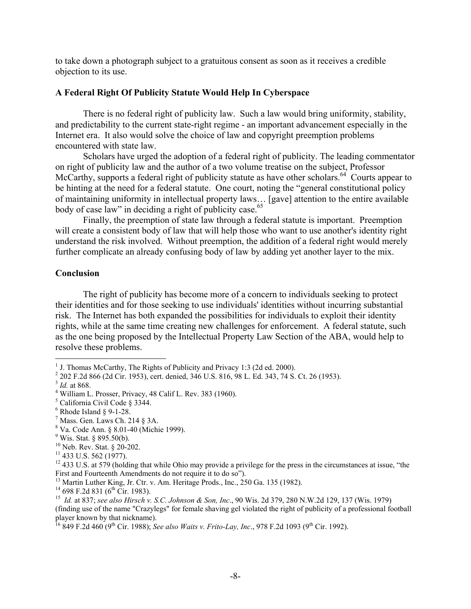to take down a photograph subject to a gratuitous consent as soon as it receives a credible objection to its use.

### **A Federal Right Of Publicity Statute Would Help In Cyberspace**

There is no federal right of publicity law. Such a law would bring uniformity, stability, and predictability to the current state-right regime - an important advancement especially in the Internet era. It also would solve the choice of law and copyright preemption problems encountered with state law.

Scholars have urged the adoption of a federal right of publicity. The leading commentator on right of publicity law and the author of a two volume treatise on the subject, Professor McCarthy, supports a federal right of publicity statute as have other scholars.<sup>64</sup> Courts appear to be hinting at the need for a federal statute. One court, noting the "general constitutional policy of maintaining uniformity in intellectual property laws… [gave] attention to the entire available body of case law" in deciding a right of publicity case.<sup>65</sup>

Finally, the preemption of state law through a federal statute is important. Preemption will create a consistent body of law that will help those who want to use another's identity right understand the risk involved. Without preemption, the addition of a federal right would merely further complicate an already confusing body of law by adding yet another layer to the mix.

#### **Conclusion**

The right of publicity has become more of a concern to individuals seeking to protect their identities and for those seeking to use individuals' identities without incurring substantial risk. The Internet has both expanded the possibilities for individuals to exploit their identity rights, while at the same time creating new challenges for enforcement. A federal statute, such as the one being proposed by the Intellectual Property Law Section of the ABA, would help to resolve these problems.

 $\overline{a}$ 

- $6$  Rhode Island § 9-1-28.
- $<sup>7</sup>$  Mass. Gen. Laws Ch. 214 § 3A.</sup>
- 8 Va. Code Ann. § 8.01-40 (Michie 1999).
- $9$  Wis. Stat. § 895.50(b).

<sup>&</sup>lt;sup>1</sup> J. Thomas McCarthy, The Rights of Publicity and Privacy 1:3 (2d ed. 2000).

<sup>2</sup> 202 F.2d 866 (2d Cir. 1953), cert. denied, 346 U.S. 816, 98 L. Ed. 343, 74 S. Ct. 26 (1953).

 $3$  *Id.* at 868.

<sup>&</sup>lt;sup>4</sup> William L. Prosser, Privacy, 48 Calif L. Rev. 383 (1960).

 $5$  California Civil Code § 3344.

<sup>10</sup> Neb. Rev. Stat. § 20-202.

 $11$  433 U.S. 562 (1977).

 $12\,433$  U.S. at 579 (holding that while Ohio may provide a privilege for the press in the circumstances at issue, "the First and Fourteenth Amendments do not require it to do so").

<sup>&</sup>lt;sup>13</sup> Martin Luther King, Jr. Ctr. v. Am. Heritage Prods., Inc., 250 Ga. 135 (1982).<br><sup>14</sup> 698 F.2d 831 (6<sup>th</sup> Cir. 1983).

<sup>&</sup>lt;sup>15</sup> Id. at 837; see also Hirsch v. S.C. Johnson & Son, Inc., 90 Wis. 2d 379, 280 N.W.2d 129, 137 (Wis. 1979). (finding use of the name "Crazylegs" for female shaving gel violated the right of publicity of a professional football player known by that nickname).

<sup>16 849</sup> F.2d 460 (9th Cir. 1988); *See also Waits v. Frito-Lay, Inc*., 978 F.2d 1093 (9th Cir. 1992).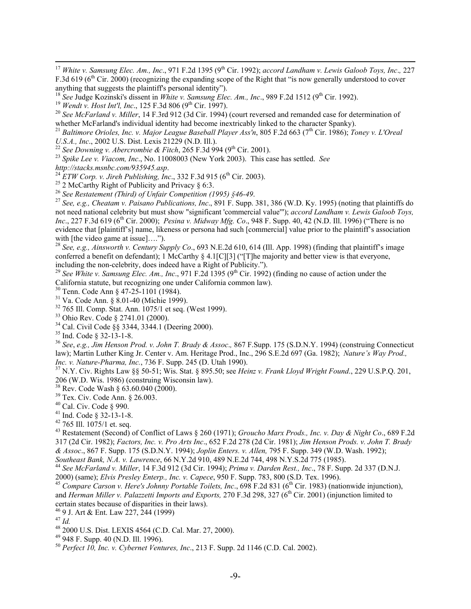<sup>17</sup> *White v. Samsung Elec. Am., Inc.*, 971 F.2d 1395 (9<sup>th</sup> Cir. 1992); *accord Landham v. Lewis Galoob Toys, Inc.*, 227 F.3d 619 ( $6<sup>th</sup>$  Cir. 2000) (recognizing the expanding scope of the Right that "is now generally understood to cover anything that suggests the plaintiff's personal identity").<br><sup>18</sup> See Judge Kozinski's dissent in *White v. Samsung Elec. Am., Inc.*, 989 F.2d 1512 (9<sup>th</sup> Cir. 1992).

<sup>19</sup> Wendt v. Host Int'l, Inc., 125 F.3d 806 (9<sup>th</sup> Cir. 1997).<br><sup>20</sup> See McFarland v. Miller, 14 F.3rd 912 (3d Cir. 1994) (court reversed and remanded case for determination of whether McFarland's individual identity had become inextricably linked to the character Spanky).

<sup>21</sup> *Baltimore Orioles, Inc. v. Major League Baseball Player Ass'n*, 805 F.2d 663 (7th Cir. 1986); *Toney v. L'Oreal* U.S.A., Inc., 2002 U.S. Dist. Lexis 21229 (N.D. Ill.).<br><sup>22</sup> See Downing v. Abercrombie & Fitch, 265 F.3d 994 (9<sup>th</sup> Cir. 2001).<br><sup>23</sup> Spike Lee v. Viacom, Inc., No. 11008003 (New York 2003). This case has settled. See<br>http

*http://stacks.msnbc.com/935945.asp.*<br><sup>24</sup> *ETW Corp. v. Jireh Publishing, Inc.*, 332 F.3d 915 (6<sup>th</sup> Cir. 2003).<br><sup>25</sup> 2 McCarthy Right of Publicity and Privacy § 6:3.<br><sup>26</sup> *See Restatement (Third) of Unfair Competition (1* 

<sup>27</sup> See, e.g., *Cheatam v. Paisano Publications, Inc.*, 891 F. Supp. 381, 386 (W.D. Ky. 1995) (noting that plaintiffs do not need national celebrity but must show "significant 'commercial value'"); *accord Landham v. Lewis Galoob Toys, Inc.*, 227 F.3d 619 (6<sup>th</sup> Cir. 2000); *Pesina v. Midway Mfg. Co.*, 948 F. Supp. 40, 42 (N.D. Ill. 1996) ("There is no evidence that [plaintiff's] name, likeness or persona had such [commercial] value prior to the plaintiff's association with [the video game at issue]....").

<sup>28</sup> See, e.g., Ainsworth v. Century Supply Co., 693 N.E.2d 610, 614 (Ill. App. 1998) (finding that plaintiff's image conferred a benefit on defendant); 1 McCarthy § 4.1[C][3] ("[T]he majority and better view is that everyone, including the non-celebrity, does indeed have a Right of Publicity.").

<sup>29</sup> See White v. Samsung Elec. Am., Inc., 971 F.2d 1395 (9<sup>th</sup> Cir. 1992) (finding no cause of action under the California statute, but recognizing one under California common law).

30 Tenn. Code Ann § 47-25-1101 (1984).

31 Va. Code Ann. § 8.01-40 (Michie 1999).

 $32\,765$  Ill. Comp. Stat. Ann. 1075/1 et seq. (West 1999).

33 Ohio Rev. Code § 2741.01 (2000).

 $^{34}$  Cal. Civil Code §§ 3344, 3344.1 (Deering 2000).

 $35$  Ind. Code § 32-13-1-8.

<sup>36</sup> *See*, *e.g., Jim Henson Prod. v. John T. Brady & Assoc*.*,* 867 F.Supp. 175 (S.D.N.Y. 1994) (construing Connecticut law); Martin Luther King Jr. Center v. Am. Heritage Prod., Inc., 296 S.E.2d 697 (Ga. 1982); *Nature's Way Prod.,*

*Inc. v. Nature-Pharma, Inc.*, 736 F. Supp. 245 (D. Utah 1990).<br><sup>37</sup> N.Y. Civ. Rights Law §§ 50-51; Wis. Stat. § 895.50; see *Heinz v. Frank Lloyd Wright Found.*, 229 U.S.P.O. 201, 206 (W.D. Wis. 1986) (construing Wisconsin law).

38 Rev. Code Wash § 63.60.040 (2000).

39 Tex. Civ. Code Ann. § 26.003.

 $40$  Cal. Civ. Code § 990.

41 Ind. Code § 32-13-1-8.

 $42$  765 Ill.  $1075/1$  et. seq.

43 Restatement (Second) of Conflict of Laws § 260 (1971); *Groucho Marx Prods., Inc. v. Day & Night Co*., 689 F.2d 317 (2d Cir. 1982); *Factors, Inc. v. Pro Arts Inc*., 652 F.2d 278 (2d Cir. 1981); *Jim Henson Prods. v. John T. Brady & Assoc*., 867 F. Supp. 175 (S.D.N.Y. 1994); *Joplin Enters. v. Allen,* 795 F. Supp. 349 (W.D. Wash. 1992);

<sup>44</sup> See McFarland v. Miller, 14 F.3d 912 (3d Cir. 1994); Prima v. Darden Rest., Inc., 78 F. Supp. 2d 337 (D.N.J.

2000) (same); *Elvis Presley Enterp., Inc. v. Capece*, 950 F. Supp. 783, 800 (S.D. Tex. 1996).<br><sup>45</sup> Compare Carson v. Here's Johnny Portable Toilets, Inc., 698 F.2d 831 (6<sup>th</sup> Cir. 1983) (nationwide injunction), and *Herman Miller v. Palazzetti Imports and Exports,* 270 F.3d 298, 327 (6<sup>th</sup> Cir. 2001) (injunction limited to certain states because of disparities in their laws).

<sup>46</sup> 9 J. Art & Ent. Law 227, 244 (1999). <sup>47</sup> *Id.* 

<sup>48</sup> 2000 U.S. Dist. LEXIS 4564 (C.D. Cal. Mar. 27, 2000).

 $49$  948 F. Supp. 40 (N.D. Ill. 1996).

<sup>50</sup> *Perfect 10, Inc. v. Cybernet Ventures, Inc*., 213 F. Supp. 2d 1146 (C.D. Cal. 2002).